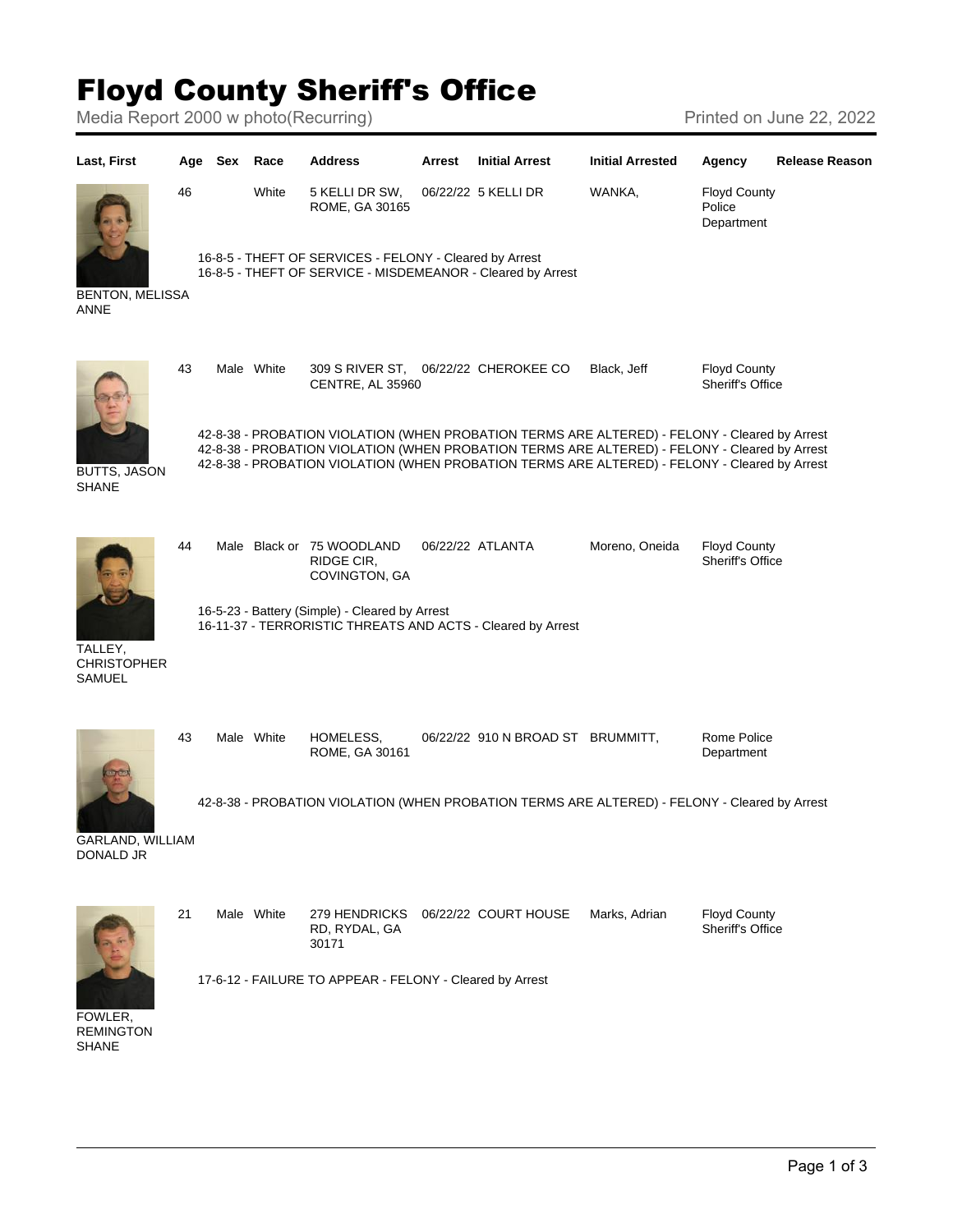## Floyd County Sheriff's Office

Media Report 2000 w photo(Recurring) Media Report 2002 Printed on June 22, 2022

| Last, First                                    | Age | Sex | Race       | <b>Address</b>                                                                                                         | Arrest | <b>Initial Arrest</b>                                                                                                                                                                                                                                                                           | <b>Initial Arrested</b> | Agency                                         | <b>Release Reason</b> |
|------------------------------------------------|-----|-----|------------|------------------------------------------------------------------------------------------------------------------------|--------|-------------------------------------------------------------------------------------------------------------------------------------------------------------------------------------------------------------------------------------------------------------------------------------------------|-------------------------|------------------------------------------------|-----------------------|
|                                                | 46  |     | White      | 5 KELLI DR SW,<br>ROME, GA 30165                                                                                       |        | 06/22/22 5 KELLI DR                                                                                                                                                                                                                                                                             | WANKA,                  | <b>Floyd County</b><br>Police<br>Department    |                       |
| <b>BENTON, MELISSA</b><br>ANNE                 |     |     |            | 16-8-5 - THEFT OF SERVICES - FELONY - Cleared by Arrest<br>16-8-5 - THEFT OF SERVICE - MISDEMEANOR - Cleared by Arrest |        |                                                                                                                                                                                                                                                                                                 |                         |                                                |                       |
| <b>BUTTS, JASON</b><br><b>SHANE</b>            | 43  |     | Male White | 309 S RIVER ST,<br>CENTRE, AL 35960                                                                                    |        | 06/22/22 CHEROKEE CO                                                                                                                                                                                                                                                                            | Black, Jeff             | <b>Floyd County</b><br>Sheriff's Office        |                       |
|                                                |     |     |            |                                                                                                                        |        | 42-8-38 - PROBATION VIOLATION (WHEN PROBATION TERMS ARE ALTERED) - FELONY - Cleared by Arrest<br>42-8-38 - PROBATION VIOLATION (WHEN PROBATION TERMS ARE ALTERED) - FELONY - Cleared by Arrest<br>42-8-38 - PROBATION VIOLATION (WHEN PROBATION TERMS ARE ALTERED) - FELONY - Cleared by Arrest |                         |                                                |                       |
| TALLEY,<br><b>CHRISTOPHER</b><br><b>SAMUEL</b> | 44  |     |            | Male Black or 75 WOODLAND<br>RIDGE CIR,<br>COVINGTON, GA                                                               |        | 06/22/22 ATLANTA                                                                                                                                                                                                                                                                                | Moreno, Oneida          | <b>Floyd County</b><br><b>Sheriff's Office</b> |                       |
|                                                |     |     |            | 16-5-23 - Battery (Simple) - Cleared by Arrest<br>16-11-37 - TERRORISTIC THREATS AND ACTS - Cleared by Arrest          |        |                                                                                                                                                                                                                                                                                                 |                         |                                                |                       |
|                                                | 43  |     | Male White | HOMELESS,<br>ROME, GA 30161                                                                                            |        | 06/22/22 910 N BROAD ST BRUMMITT,                                                                                                                                                                                                                                                               |                         | Rome Police<br>Department                      |                       |
| GARLAND, WILLIAM<br>DONALD JR                  |     |     |            |                                                                                                                        |        | 42-8-38 - PROBATION VIOLATION (WHEN PROBATION TERMS ARE ALTERED) - FELONY - Cleared by Arrest                                                                                                                                                                                                   |                         |                                                |                       |
|                                                | 21  |     | Male White | 279 HENDRICKS<br>RD, RYDAL, GA<br>30171                                                                                |        | 06/22/22 COURT HOUSE                                                                                                                                                                                                                                                                            | Marks, Adrian           | <b>Floyd County</b><br><b>Sheriff's Office</b> |                       |
| FOWLER,<br><b>REMINGTON</b><br><b>SHANE</b>    |     |     |            | 17-6-12 - FAILURE TO APPEAR - FELONY - Cleared by Arrest                                                               |        |                                                                                                                                                                                                                                                                                                 |                         |                                                |                       |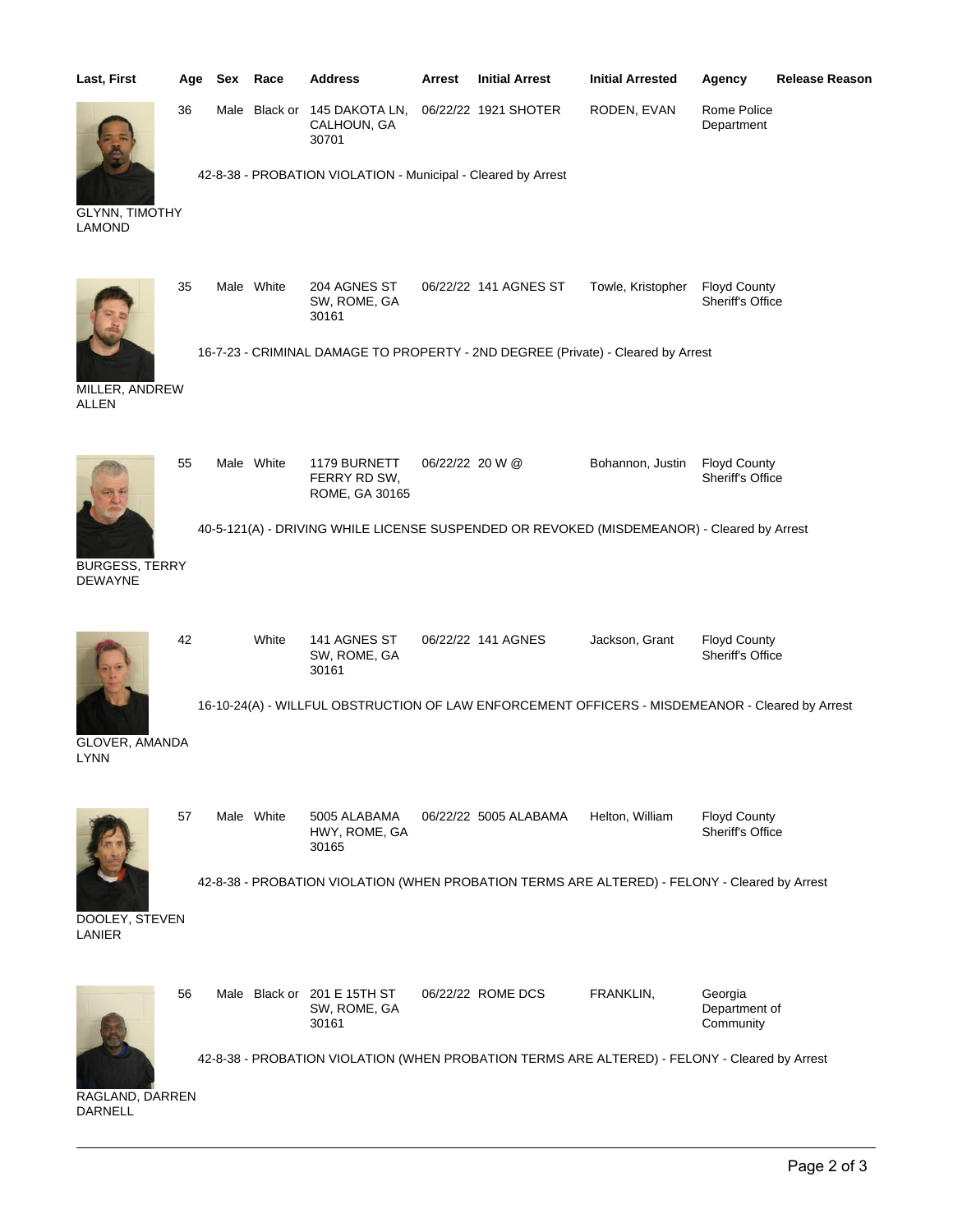| Last, First                             | Age | Sex Race   | <b>Address</b>                                                                                  | Arrest          | <b>Initial Arrest</b> | <b>Initial Arrested</b> | Agency                                  | <b>Release Reason</b> |
|-----------------------------------------|-----|------------|-------------------------------------------------------------------------------------------------|-----------------|-----------------------|-------------------------|-----------------------------------------|-----------------------|
|                                         | 36  |            | Male Black or 145 DAKOTA LN,<br>CALHOUN, GA<br>30701                                            |                 | 06/22/22 1921 SHOTER  | RODEN, EVAN             | Rome Police<br>Department               |                       |
| <b>GLYNN, TIMOTHY</b><br><b>LAMOND</b>  |     |            | 42-8-38 - PROBATION VIOLATION - Municipal - Cleared by Arrest                                   |                 |                       |                         |                                         |                       |
|                                         | 35  | Male White | 204 AGNES ST<br>SW, ROME, GA<br>30161                                                           |                 | 06/22/22 141 AGNES ST | Towle, Kristopher       | <b>Floyd County</b><br>Sheriff's Office |                       |
| MILLER, ANDREW<br><b>ALLEN</b>          |     |            | 16-7-23 - CRIMINAL DAMAGE TO PROPERTY - 2ND DEGREE (Private) - Cleared by Arrest                |                 |                       |                         |                                         |                       |
|                                         | 55  | Male White | 1179 BURNETT<br>FERRY RD SW,<br>ROME, GA 30165                                                  | 06/22/22 20 W @ |                       | Bohannon, Justin        | <b>Floyd County</b><br>Sheriff's Office |                       |
|                                         |     |            | 40-5-121(A) - DRIVING WHILE LICENSE SUSPENDED OR REVOKED (MISDEMEANOR) - Cleared by Arrest      |                 |                       |                         |                                         |                       |
| <b>BURGESS, TERRY</b><br><b>DEWAYNE</b> |     |            |                                                                                                 |                 |                       |                         |                                         |                       |
|                                         | 42  | White      | 141 AGNES ST<br>SW, ROME, GA<br>30161                                                           |                 | 06/22/22 141 AGNES    | Jackson, Grant          | <b>Floyd County</b><br>Sheriff's Office |                       |
| GLOVER, AMANDA<br><b>LYNN</b>           |     |            | 16-10-24(A) - WILLFUL OBSTRUCTION OF LAW ENFORCEMENT OFFICERS - MISDEMEANOR - Cleared by Arrest |                 |                       |                         |                                         |                       |
|                                         | 57  | Male White | 5005 ALABAMA<br>HWY, ROME, GA<br>30165                                                          |                 | 06/22/22 5005 ALABAMA | Helton, William         | <b>Floyd County</b><br>Sheriff's Office |                       |
| DOOLEY, STEVEN<br>LANIER                |     |            | 42-8-38 - PROBATION VIOLATION (WHEN PROBATION TERMS ARE ALTERED) - FELONY - Cleared by Arrest   |                 |                       |                         |                                         |                       |
|                                         | 56  |            | Male Black or 201 E 15TH ST<br>SW, ROME, GA<br>30161                                            |                 | 06/22/22 ROME DCS     | FRANKLIN,               | Georgia<br>Department of<br>Community   |                       |
| RAGLAND, DARREN<br>DARNELL              |     |            | 42-8-38 - PROBATION VIOLATION (WHEN PROBATION TERMS ARE ALTERED) - FELONY - Cleared by Arrest   |                 |                       |                         |                                         |                       |